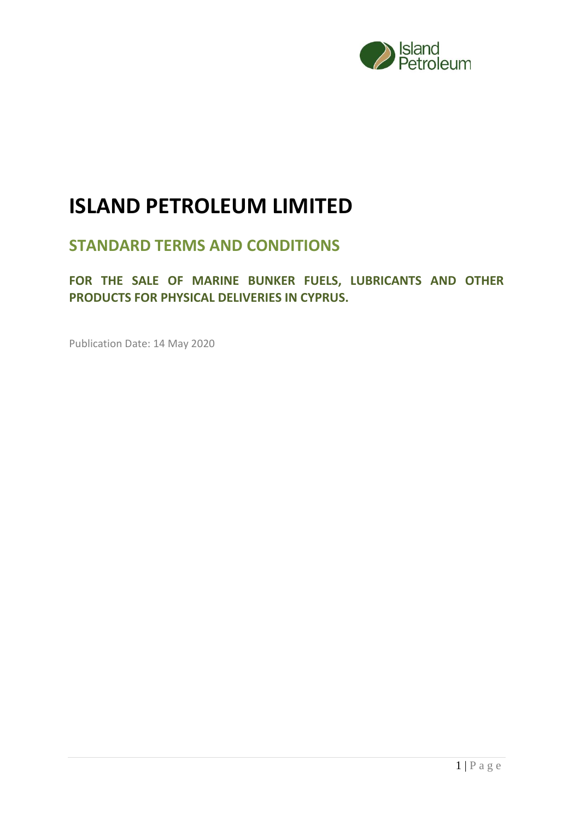

# **ISLAND PETROLEUM LIMITED**

## **STANDARD TERMS AND CONDITIONS**

**FOR THE SALE OF MARINE BUNKER FUELS, LUBRICANTS AND OTHER PRODUCTS FOR PHYSICAL DELIVERIES IN CYPRUS.**

Publication Date: 14 May 2020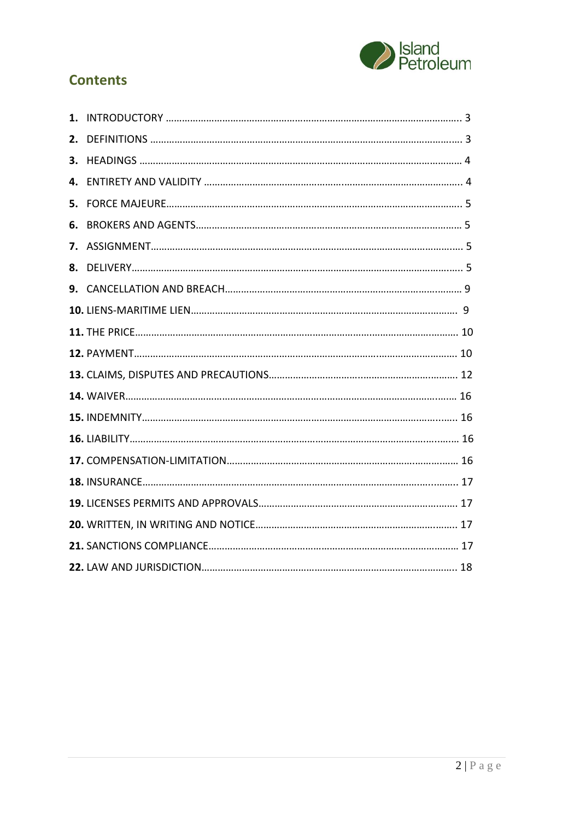

## **Contents**

| 1. |  |
|----|--|
| 2. |  |
| 3. |  |
| 4. |  |
| 5. |  |
| 6. |  |
| 7. |  |
| 8. |  |
|    |  |
|    |  |
|    |  |
|    |  |
|    |  |
|    |  |
|    |  |
|    |  |
|    |  |
|    |  |
|    |  |
|    |  |
|    |  |
|    |  |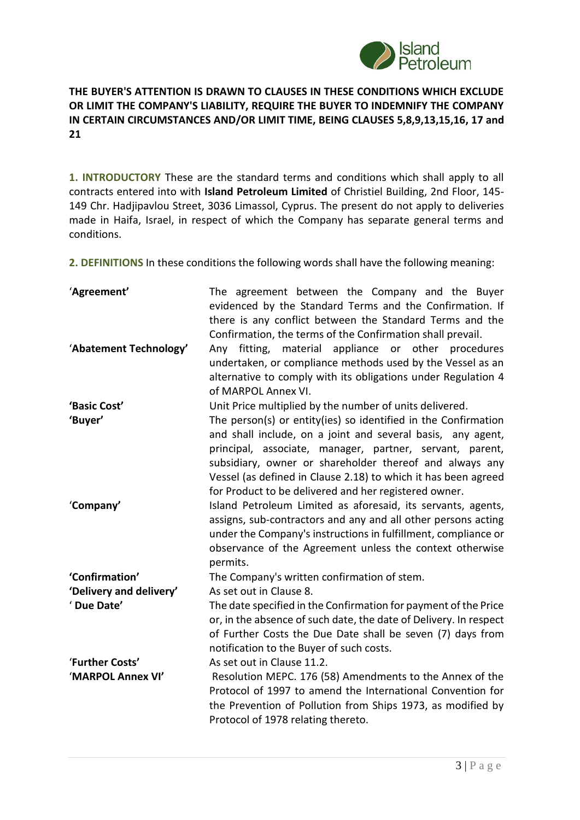

### **THE BUYER'S ATTENTION IS DRAWN TO CLAUSES IN THESE CONDITIONS WHICH EXCLUDE OR LIMIT THE COMPANY'S LIABILITY, REQUIRE THE BUYER TO INDEMNIFY THE COMPANY IN CERTAIN CIRCUMSTANCES AND/OR LIMIT TIME, BEING CLAUSES 5,8,9,13,15,16, 17 and 21**

**1. INTRODUCTORY** These are the standard terms and conditions which shall apply to all contracts entered into with **Island Petroleum Limited** of Christiel Building, 2nd Floor, 145- 149 Chr. Hadjipavlou Street, 3036 Limassol, Cyprus. The present do not apply to deliveries made in Haifa, Israel, in respect of which the Company has separate general terms and conditions.

**2. DEFINITIONS** In these conditions the following words shall have the following meaning:

| 'Agreement'                          | The agreement between the Company and the Buyer<br>evidenced by the Standard Terms and the Confirmation. If<br>there is any conflict between the Standard Terms and the<br>Confirmation, the terms of the Confirmation shall prevail.                                                                                                                                           |
|--------------------------------------|---------------------------------------------------------------------------------------------------------------------------------------------------------------------------------------------------------------------------------------------------------------------------------------------------------------------------------------------------------------------------------|
| 'Abatement Technology'               | fitting, material appliance or other procedures<br>Any<br>undertaken, or compliance methods used by the Vessel as an<br>alternative to comply with its obligations under Regulation 4<br>of MARPOL Annex VI.                                                                                                                                                                    |
| 'Basic Cost'                         | Unit Price multiplied by the number of units delivered.                                                                                                                                                                                                                                                                                                                         |
| 'Buyer'                              | The person(s) or entity(ies) so identified in the Confirmation<br>and shall include, on a joint and several basis, any agent,<br>principal, associate, manager, partner, servant, parent,<br>subsidiary, owner or shareholder thereof and always any<br>Vessel (as defined in Clause 2.18) to which it has been agreed<br>for Product to be delivered and her registered owner. |
| 'Company'                            | Island Petroleum Limited as aforesaid, its servants, agents,<br>assigns, sub-contractors and any and all other persons acting<br>under the Company's instructions in fulfillment, compliance or<br>observance of the Agreement unless the context otherwise<br>permits.                                                                                                         |
| 'Confirmation'                       | The Company's written confirmation of stem.                                                                                                                                                                                                                                                                                                                                     |
| 'Delivery and delivery'              | As set out in Clause 8.                                                                                                                                                                                                                                                                                                                                                         |
| 'Due Date'                           | The date specified in the Confirmation for payment of the Price<br>or, in the absence of such date, the date of Delivery. In respect<br>of Further Costs the Due Date shall be seven (7) days from<br>notification to the Buyer of such costs.                                                                                                                                  |
| 'Further Costs'<br>'MARPOL Annex VI' | As set out in Clause 11.2.<br>Resolution MEPC. 176 (58) Amendments to the Annex of the<br>Protocol of 1997 to amend the International Convention for<br>the Prevention of Pollution from Ships 1973, as modified by<br>Protocol of 1978 relating thereto.                                                                                                                       |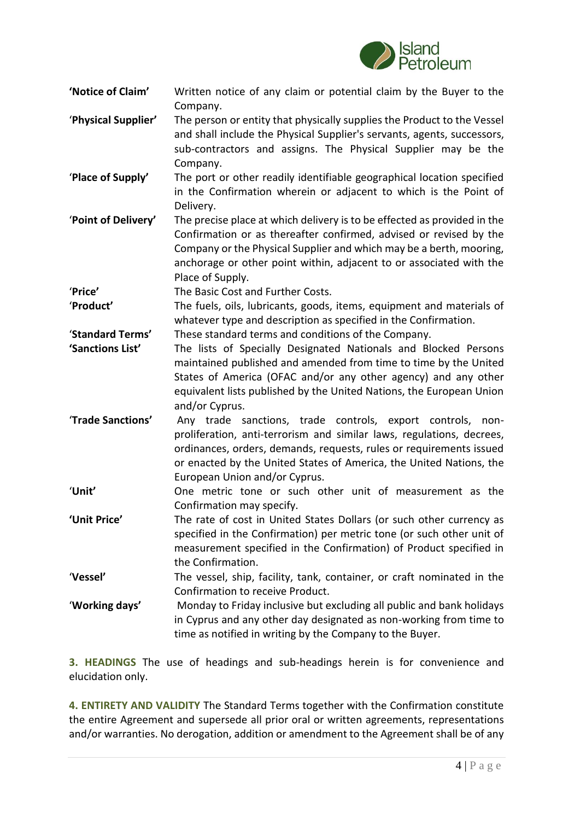

- **'Notice of Claim'** Written notice of any claim or potential claim by the Buyer to the Company.
- '**Physical Supplier'** The person or entity that physically supplies the Product to the Vessel and shall include the Physical Supplier's servants, agents, successors, sub-contractors and assigns. The Physical Supplier may be the Company.
- '**Place of Supply'** The port or other readily identifiable geographical location specified in the Confirmation wherein or adjacent to which is the Point of Delivery.
- '**Point of Delivery'** The precise place at which delivery is to be effected as provided in the Confirmation or as thereafter confirmed, advised or revised by the Company or the Physical Supplier and which may be a berth, mooring, anchorage or other point within, adjacent to or associated with the Place of Supply.

'**Price'** The Basic Cost and Further Costs.

'**Product'** The fuels, oils, lubricants, goods, items, equipment and materials of whatever type and description as specified in the Confirmation.

'**Standard Terms'** These standard terms and conditions of the Company.

- **'Sanctions List'** The lists of Specially Designated Nationals and Blocked Persons maintained published and amended from time to time by the United States of America (OFAC and/or any other agency) and any other equivalent lists published by the United Nations, the European Union and/or Cyprus.
- '**Trade Sanctions'** Any trade sanctions, trade controls, export controls, nonproliferation, anti-terrorism and similar laws, regulations, decrees, ordinances, orders, demands, requests, rules or requirements issued or enacted by the United States of America, the United Nations, the European Union and/or Cyprus.
- '**Unit'** One metric tone or such other unit of measurement as the Confirmation may specify.
- **'Unit Price'** The rate of cost in United States Dollars (or such other currency as specified in the Confirmation) per metric tone (or such other unit of measurement specified in the Confirmation) of Product specified in the Confirmation.
- '**Vessel'** The vessel, ship, facility, tank, container, or craft nominated in the Confirmation to receive Product.
- '**Working days'** Monday to Friday inclusive but excluding all public and bank holidays in Cyprus and any other day designated as non-working from time to time as notified in writing by the Company to the Buyer.

**3. HEADINGS** The use of headings and sub-headings herein is for convenience and elucidation only.

**4. ENTIRETY AND VALIDITY** The Standard Terms together with the Confirmation constitute the entire Agreement and supersede all prior oral or written agreements, representations and/or warranties. No derogation, addition or amendment to the Agreement shall be of any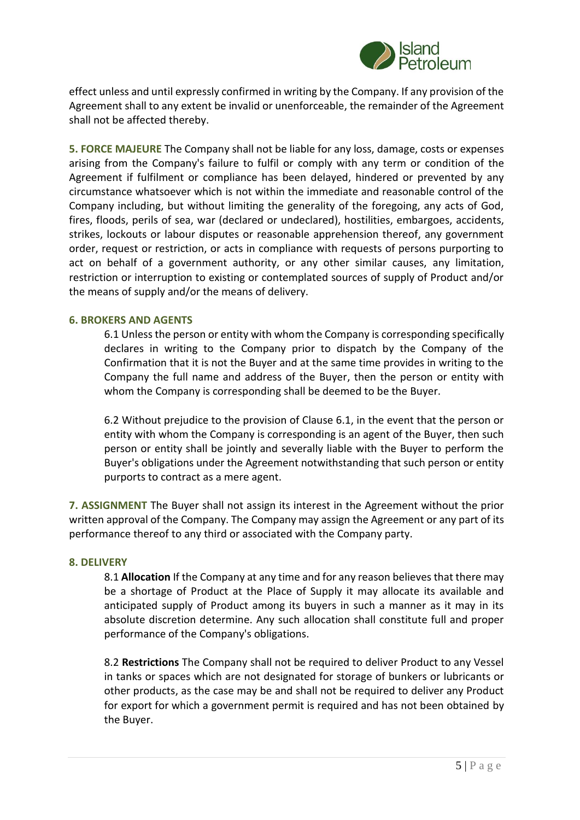

effect unless and until expressly confirmed in writing by the Company. If any provision of the Agreement shall to any extent be invalid or unenforceable, the remainder of the Agreement shall not be affected thereby.

**5. FORCE MAJEURE** The Company shall not be liable for any loss, damage, costs or expenses arising from the Company's failure to fulfil or comply with any term or condition of the Agreement if fulfilment or compliance has been delayed, hindered or prevented by any circumstance whatsoever which is not within the immediate and reasonable control of the Company including, but without limiting the generality of the foregoing, any acts of God, fires, floods, perils of sea, war (declared or undeclared), hostilities, embargoes, accidents, strikes, lockouts or labour disputes or reasonable apprehension thereof, any government order, request or restriction, or acts in compliance with requests of persons purporting to act on behalf of a government authority, or any other similar causes, any limitation, restriction or interruption to existing or contemplated sources of supply of Product and/or the means of supply and/or the means of delivery.

#### **6. BROKERS AND AGENTS**

6.1 Unless the person or entity with whom the Company is corresponding specifically declares in writing to the Company prior to dispatch by the Company of the Confirmation that it is not the Buyer and at the same time provides in writing to the Company the full name and address of the Buyer, then the person or entity with whom the Company is corresponding shall be deemed to be the Buyer.

6.2 Without prejudice to the provision of Clause 6.1, in the event that the person or entity with whom the Company is corresponding is an agent of the Buyer, then such person or entity shall be jointly and severally liable with the Buyer to perform the Buyer's obligations under the Agreement notwithstanding that such person or entity purports to contract as a mere agent.

**7. ASSIGNMENT** The Buyer shall not assign its interest in the Agreement without the prior written approval of the Company. The Company may assign the Agreement or any part of its performance thereof to any third or associated with the Company party.

#### **8. DELIVERY**

8.1 **Allocation** If the Company at any time and for any reason believes that there may be a shortage of Product at the Place of Supply it may allocate its available and anticipated supply of Product among its buyers in such a manner as it may in its absolute discretion determine. Any such allocation shall constitute full and proper performance of the Company's obligations.

8.2 **Restrictions** The Company shall not be required to deliver Product to any Vessel in tanks or spaces which are not designated for storage of bunkers or lubricants or other products, as the case may be and shall not be required to deliver any Product for export for which a government permit is required and has not been obtained by the Buyer.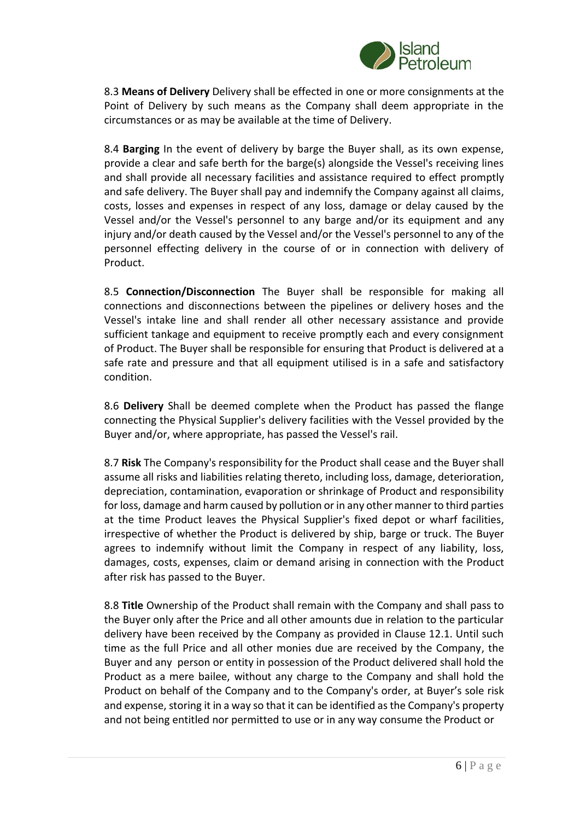

8.3 **Means of Delivery** Delivery shall be effected in one or more consignments at the Point of Delivery by such means as the Company shall deem appropriate in the circumstances or as may be available at the time of Delivery.

8.4 **Barging** In the event of delivery by barge the Buyer shall, as its own expense, provide a clear and safe berth for the barge(s) alongside the Vessel's receiving lines and shall provide all necessary facilities and assistance required to effect promptly and safe delivery. The Buyer shall pay and indemnify the Company against all claims, costs, losses and expenses in respect of any loss, damage or delay caused by the Vessel and/or the Vessel's personnel to any barge and/or its equipment and any injury and/or death caused by the Vessel and/or the Vessel's personnel to any of the personnel effecting delivery in the course of or in connection with delivery of Product.

8.5 **Connection/Disconnection** The Buyer shall be responsible for making all connections and disconnections between the pipelines or delivery hoses and the Vessel's intake line and shall render all other necessary assistance and provide sufficient tankage and equipment to receive promptly each and every consignment of Product. The Buyer shall be responsible for ensuring that Product is delivered at a safe rate and pressure and that all equipment utilised is in a safe and satisfactory condition.

8.6 **Delivery** Shall be deemed complete when the Product has passed the flange connecting the Physical Supplier's delivery facilities with the Vessel provided by the Buyer and/or, where appropriate, has passed the Vessel's rail.

8.7 **Risk** The Company's responsibility for the Product shall cease and the Buyer shall assume all risks and liabilities relating thereto, including loss, damage, deterioration, depreciation, contamination, evaporation or shrinkage of Product and responsibility for loss, damage and harm caused by pollution or in any other manner to third parties at the time Product leaves the Physical Supplier's fixed depot or wharf facilities, irrespective of whether the Product is delivered by ship, barge or truck. The Buyer agrees to indemnify without limit the Company in respect of any liability, loss, damages, costs, expenses, claim or demand arising in connection with the Product after risk has passed to the Buyer.

8.8 **Title** Ownership of the Product shall remain with the Company and shall pass to the Buyer only after the Price and all other amounts due in relation to the particular delivery have been received by the Company as provided in Clause 12.1. Until such time as the full Price and all other monies due are received by the Company, the Buyer and any person or entity in possession of the Product delivered shall hold the Product as a mere bailee, without any charge to the Company and shall hold the Product on behalf of the Company and to the Company's order, at Buyer's sole risk and expense, storing it in a way so that it can be identified as the Company's property and not being entitled nor permitted to use or in any way consume the Product or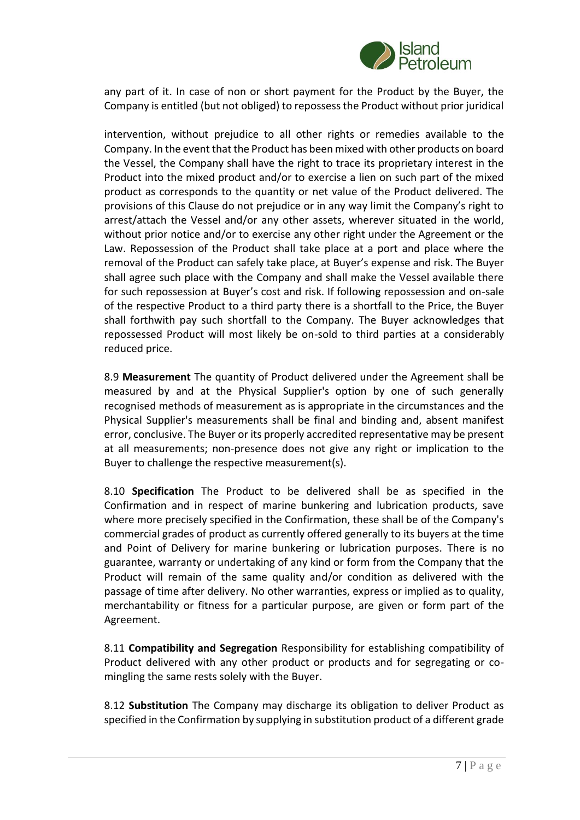

any part of it. In case of non or short payment for the Product by the Buyer, the Company is entitled (but not obliged) to repossess the Product without prior juridical

intervention, without prejudice to all other rights or remedies available to the Company. In the event that the Product has been mixed with other products on board the Vessel, the Company shall have the right to trace its proprietary interest in the Product into the mixed product and/or to exercise a lien on such part of the mixed product as corresponds to the quantity or net value of the Product delivered. The provisions of this Clause do not prejudice or in any way limit the Company's right to arrest/attach the Vessel and/or any other assets, wherever situated in the world, without prior notice and/or to exercise any other right under the Agreement or the Law. Repossession of the Product shall take place at a port and place where the removal of the Product can safely take place, at Buyer's expense and risk. The Buyer shall agree such place with the Company and shall make the Vessel available there for such repossession at Buyer's cost and risk. If following repossession and on-sale of the respective Product to a third party there is a shortfall to the Price, the Buyer shall forthwith pay such shortfall to the Company. The Buyer acknowledges that repossessed Product will most likely be on-sold to third parties at a considerably reduced price.

8.9 **Measurement** The quantity of Product delivered under the Agreement shall be measured by and at the Physical Supplier's option by one of such generally recognised methods of measurement as is appropriate in the circumstances and the Physical Supplier's measurements shall be final and binding and, absent manifest error, conclusive. The Buyer or its properly accredited representative may be present at all measurements; non-presence does not give any right or implication to the Buyer to challenge the respective measurement(s).

8.10 **Specification** The Product to be delivered shall be as specified in the Confirmation and in respect of marine bunkering and lubrication products, save where more precisely specified in the Confirmation, these shall be of the Company's commercial grades of product as currently offered generally to its buyers at the time and Point of Delivery for marine bunkering or lubrication purposes. There is no guarantee, warranty or undertaking of any kind or form from the Company that the Product will remain of the same quality and/or condition as delivered with the passage of time after delivery. No other warranties, express or implied as to quality, merchantability or fitness for a particular purpose, are given or form part of the Agreement.

8.11 **Compatibility and Segregation** Responsibility for establishing compatibility of Product delivered with any other product or products and for segregating or comingling the same rests solely with the Buyer.

8.12 **Substitution** The Company may discharge its obligation to deliver Product as specified in the Confirmation by supplying in substitution product of a different grade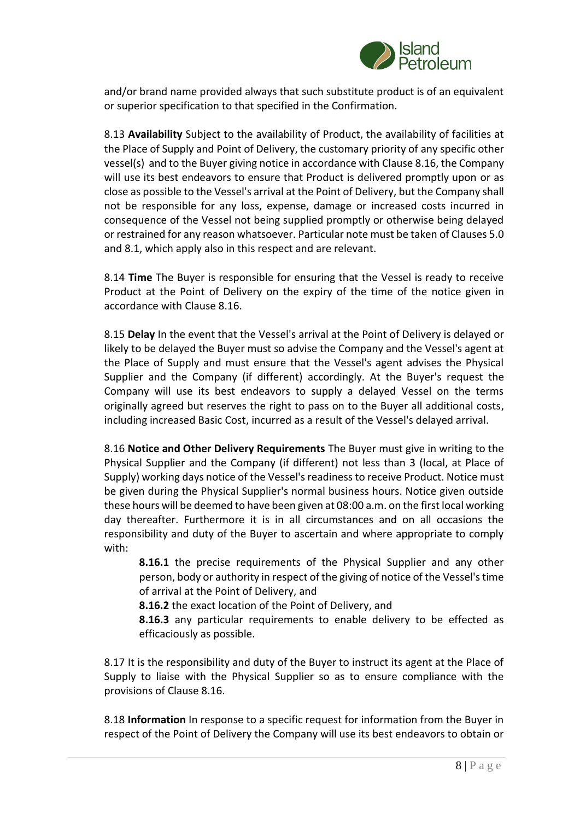

and/or brand name provided always that such substitute product is of an equivalent or superior specification to that specified in the Confirmation.

8.13 **Availability** Subject to the availability of Product, the availability of facilities at the Place of Supply and Point of Delivery, the customary priority of any specific other vessel(s) and to the Buyer giving notice in accordance with Clause 8.16, the Company will use its best endeavors to ensure that Product is delivered promptly upon or as close as possible to the Vessel's arrival at the Point of Delivery, but the Company shall not be responsible for any loss, expense, damage or increased costs incurred in consequence of the Vessel not being supplied promptly or otherwise being delayed or restrained for any reason whatsoever. Particular note must be taken of Clauses 5.0 and 8.1, which apply also in this respect and are relevant.

8.14 **Time** The Buyer is responsible for ensuring that the Vessel is ready to receive Product at the Point of Delivery on the expiry of the time of the notice given in accordance with Clause 8.16.

8.15 **Delay** In the event that the Vessel's arrival at the Point of Delivery is delayed or likely to be delayed the Buyer must so advise the Company and the Vessel's agent at the Place of Supply and must ensure that the Vessel's agent advises the Physical Supplier and the Company (if different) accordingly. At the Buyer's request the Company will use its best endeavors to supply a delayed Vessel on the terms originally agreed but reserves the right to pass on to the Buyer all additional costs, including increased Basic Cost, incurred as a result of the Vessel's delayed arrival.

8.16 **Notice and Other Delivery Requirements** The Buyer must give in writing to the Physical Supplier and the Company (if different) not less than 3 (local, at Place of Supply) working days notice of the Vessel's readiness to receive Product. Notice must be given during the Physical Supplier's normal business hours. Notice given outside these hours will be deemed to have been given at 08:00 a.m. on the first local working day thereafter. Furthermore it is in all circumstances and on all occasions the responsibility and duty of the Buyer to ascertain and where appropriate to comply with:

**8.16.1** the precise requirements of the Physical Supplier and any other person, body or authority in respect of the giving of notice of the Vessel's time of arrival at the Point of Delivery, and

**8.16.2** the exact location of the Point of Delivery, and

**8.16.3** any particular requirements to enable delivery to be effected as efficaciously as possible.

8.17 It is the responsibility and duty of the Buyer to instruct its agent at the Place of Supply to liaise with the Physical Supplier so as to ensure compliance with the provisions of Clause 8.16.

8.18 **Information** In response to a specific request for information from the Buyer in respect of the Point of Delivery the Company will use its best endeavors to obtain or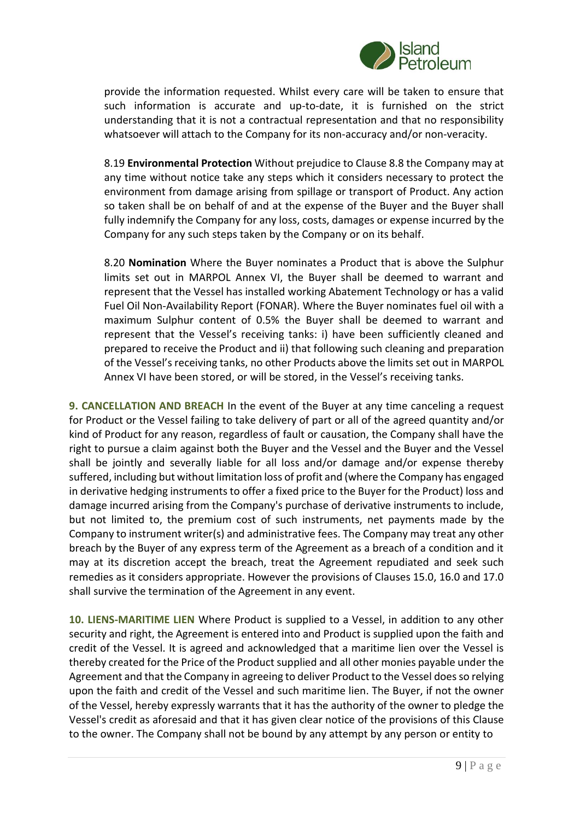

provide the information requested. Whilst every care will be taken to ensure that such information is accurate and up-to-date, it is furnished on the strict understanding that it is not a contractual representation and that no responsibility whatsoever will attach to the Company for its non-accuracy and/or non-veracity.

8.19 **Environmental Protection** Without prejudice to Clause 8.8 the Company may at any time without notice take any steps which it considers necessary to protect the environment from damage arising from spillage or transport of Product. Any action so taken shall be on behalf of and at the expense of the Buyer and the Buyer shall fully indemnify the Company for any loss, costs, damages or expense incurred by the Company for any such steps taken by the Company or on its behalf.

8.20 **Nomination** Where the Buyer nominates a Product that is above the Sulphur limits set out in MARPOL Annex VI, the Buyer shall be deemed to warrant and represent that the Vessel has installed working Abatement Technology or has a valid Fuel Oil Non-Availability Report (FONAR). Where the Buyer nominates fuel oil with a maximum Sulphur content of 0.5% the Buyer shall be deemed to warrant and represent that the Vessel's receiving tanks: i) have been sufficiently cleaned and prepared to receive the Product and ii) that following such cleaning and preparation of the Vessel's receiving tanks, no other Products above the limits set out in MARPOL Annex VI have been stored, or will be stored, in the Vessel's receiving tanks.

**9. CANCELLATION AND BREACH** In the event of the Buyer at any time canceling a request for Product or the Vessel failing to take delivery of part or all of the agreed quantity and/or kind of Product for any reason, regardless of fault or causation, the Company shall have the right to pursue a claim against both the Buyer and the Vessel and the Buyer and the Vessel shall be jointly and severally liable for all loss and/or damage and/or expense thereby suffered, including but without limitation loss of profit and (where the Company has engaged in derivative hedging instruments to offer a fixed price to the Buyer for the Product) loss and damage incurred arising from the Company's purchase of derivative instruments to include, but not limited to, the premium cost of such instruments, net payments made by the Company to instrument writer(s) and administrative fees. The Company may treat any other breach by the Buyer of any express term of the Agreement as a breach of a condition and it may at its discretion accept the breach, treat the Agreement repudiated and seek such remedies as it considers appropriate. However the provisions of Clauses 15.0, 16.0 and 17.0 shall survive the termination of the Agreement in any event.

**10. LIENS-MARITIME LIEN** Where Product is supplied to a Vessel, in addition to any other security and right, the Agreement is entered into and Product is supplied upon the faith and credit of the Vessel. It is agreed and acknowledged that a maritime lien over the Vessel is thereby created for the Price of the Product supplied and all other monies payable under the Agreement and that the Company in agreeing to deliver Product to the Vessel does so relying upon the faith and credit of the Vessel and such maritime lien. The Buyer, if not the owner of the Vessel, hereby expressly warrants that it has the authority of the owner to pledge the Vessel's credit as aforesaid and that it has given clear notice of the provisions of this Clause to the owner. The Company shall not be bound by any attempt by any person or entity to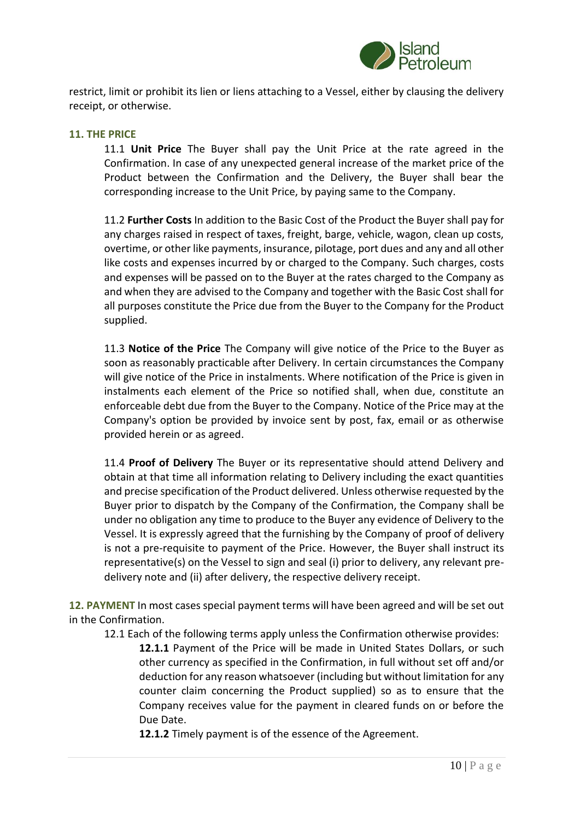

restrict, limit or prohibit its lien or liens attaching to a Vessel, either by clausing the delivery receipt, or otherwise.

#### **11. THE PRICE**

11.1 **Unit Price** The Buyer shall pay the Unit Price at the rate agreed in the Confirmation. In case of any unexpected general increase of the market price of the Product between the Confirmation and the Delivery, the Buyer shall bear the corresponding increase to the Unit Price, by paying same to the Company.

11.2 **Further Costs** In addition to the Basic Cost of the Product the Buyer shall pay for any charges raised in respect of taxes, freight, barge, vehicle, wagon, clean up costs, overtime, or other like payments, insurance, pilotage, port dues and any and all other like costs and expenses incurred by or charged to the Company. Such charges, costs and expenses will be passed on to the Buyer at the rates charged to the Company as and when they are advised to the Company and together with the Basic Cost shall for all purposes constitute the Price due from the Buyer to the Company for the Product supplied.

11.3 **Notice of the Price** The Company will give notice of the Price to the Buyer as soon as reasonably practicable after Delivery. In certain circumstances the Company will give notice of the Price in instalments. Where notification of the Price is given in instalments each element of the Price so notified shall, when due, constitute an enforceable debt due from the Buyer to the Company. Notice of the Price may at the Company's option be provided by invoice sent by post, fax, email or as otherwise provided herein or as agreed.

11.4 **Proof of Delivery** The Buyer or its representative should attend Delivery and obtain at that time all information relating to Delivery including the exact quantities and precise specification of the Product delivered. Unless otherwise requested by the Buyer prior to dispatch by the Company of the Confirmation, the Company shall be under no obligation any time to produce to the Buyer any evidence of Delivery to the Vessel. It is expressly agreed that the furnishing by the Company of proof of delivery is not a pre-requisite to payment of the Price. However, the Buyer shall instruct its representative(s) on the Vessel to sign and seal (i) prior to delivery, any relevant predelivery note and (ii) after delivery, the respective delivery receipt.

**12. PAYMENT** In most cases special payment terms will have been agreed and will be set out in the Confirmation.

12.1 Each of the following terms apply unless the Confirmation otherwise provides:

**12.1.1** Payment of the Price will be made in United States Dollars, or such other currency as specified in the Confirmation, in full without set off and/or deduction for any reason whatsoever (including but without limitation for any counter claim concerning the Product supplied) so as to ensure that the Company receives value for the payment in cleared funds on or before the Due Date.

**12.1.2** Timely payment is of the essence of the Agreement.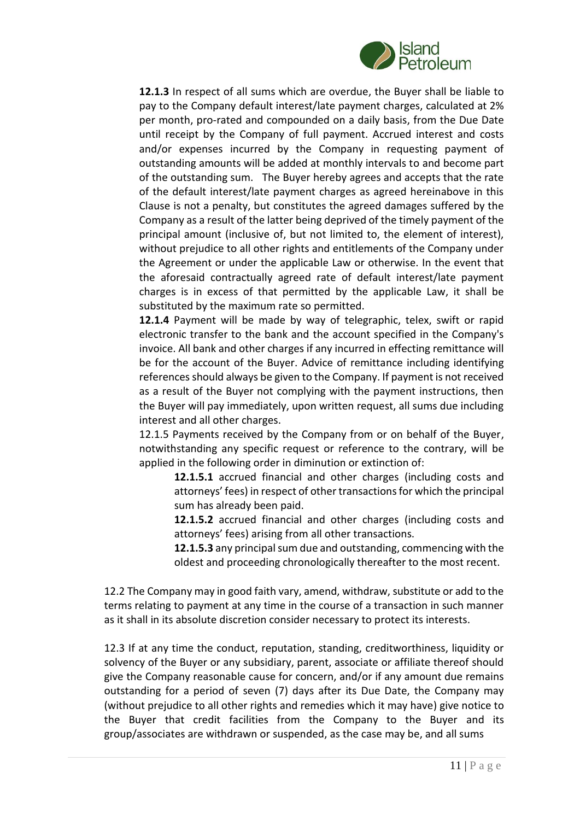

**12.1.3** In respect of all sums which are overdue, the Buyer shall be liable to pay to the Company default interest/late payment charges, calculated at 2% per month, pro-rated and compounded on a daily basis, from the Due Date until receipt by the Company of full payment. Accrued interest and costs and/or expenses incurred by the Company in requesting payment of outstanding amounts will be added at monthly intervals to and become part of the outstanding sum. The Buyer hereby agrees and accepts that the rate of the default interest/late payment charges as agreed hereinabove in this Clause is not a penalty, but constitutes the agreed damages suffered by the Company as a result of the latter being deprived of the timely payment of the principal amount (inclusive of, but not limited to, the element of interest), without prejudice to all other rights and entitlements of the Company under the Agreement or under the applicable Law or otherwise. In the event that the aforesaid contractually agreed rate of default interest/late payment charges is in excess of that permitted by the applicable Law, it shall be substituted by the maximum rate so permitted.

**12.1.4** Payment will be made by way of telegraphic, telex, swift or rapid electronic transfer to the bank and the account specified in the Company's invoice. All bank and other charges if any incurred in effecting remittance will be for the account of the Buyer. Advice of remittance including identifying references should always be given to the Company. If payment is not received as a result of the Buyer not complying with the payment instructions, then the Buyer will pay immediately, upon written request, all sums due including interest and all other charges.

12.1.5 Payments received by the Company from or on behalf of the Buyer, notwithstanding any specific request or reference to the contrary, will be applied in the following order in diminution or extinction of:

**12.1.5.1** accrued financial and other charges (including costs and attorneys' fees) in respect of other transactions for which the principal sum has already been paid.

**12.1.5.2** accrued financial and other charges (including costs and attorneys' fees) arising from all other transactions.

**12.1.5.3** any principal sum due and outstanding, commencing with the oldest and proceeding chronologically thereafter to the most recent.

12.2 The Company may in good faith vary, amend, withdraw, substitute or add to the terms relating to payment at any time in the course of a transaction in such manner as it shall in its absolute discretion consider necessary to protect its interests.

12.3 If at any time the conduct, reputation, standing, creditworthiness, liquidity or solvency of the Buyer or any subsidiary, parent, associate or affiliate thereof should give the Company reasonable cause for concern, and/or if any amount due remains outstanding for a period of seven (7) days after its Due Date, the Company may (without prejudice to all other rights and remedies which it may have) give notice to the Buyer that credit facilities from the Company to the Buyer and its group/associates are withdrawn or suspended, as the case may be, and all sums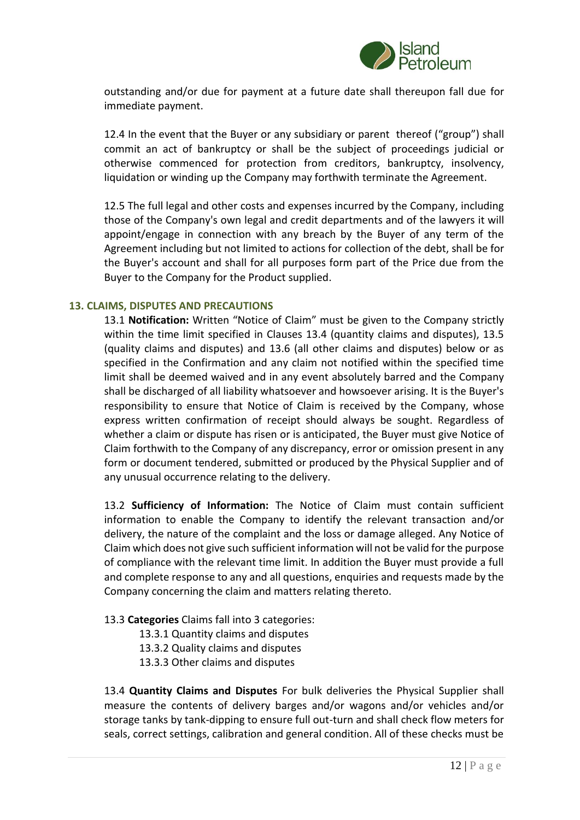

outstanding and/or due for payment at a future date shall thereupon fall due for immediate payment.

12.4 In the event that the Buyer or any subsidiary or parent thereof ("group") shall commit an act of bankruptcy or shall be the subject of proceedings judicial or otherwise commenced for protection from creditors, bankruptcy, insolvency, liquidation or winding up the Company may forthwith terminate the Agreement.

12.5 The full legal and other costs and expenses incurred by the Company, including those of the Company's own legal and credit departments and of the lawyers it will appoint/engage in connection with any breach by the Buyer of any term of the Agreement including but not limited to actions for collection of the debt, shall be for the Buyer's account and shall for all purposes form part of the Price due from the Buyer to the Company for the Product supplied.

#### **13. CLAIMS, DISPUTES AND PRECAUTIONS**

13.1 **Notification:** Written "Notice of Claim" must be given to the Company strictly within the time limit specified in Clauses 13.4 (quantity claims and disputes), 13.5 (quality claims and disputes) and 13.6 (all other claims and disputes) below or as specified in the Confirmation and any claim not notified within the specified time limit shall be deemed waived and in any event absolutely barred and the Company shall be discharged of all liability whatsoever and howsoever arising. It is the Buyer's responsibility to ensure that Notice of Claim is received by the Company, whose express written confirmation of receipt should always be sought. Regardless of whether a claim or dispute has risen or is anticipated, the Buyer must give Notice of Claim forthwith to the Company of any discrepancy, error or omission present in any form or document tendered, submitted or produced by the Physical Supplier and of any unusual occurrence relating to the delivery.

13.2 **Sufficiency of Information:** The Notice of Claim must contain sufficient information to enable the Company to identify the relevant transaction and/or delivery, the nature of the complaint and the loss or damage alleged. Any Notice of Claim which does not give such sufficient information will not be valid for the purpose of compliance with the relevant time limit. In addition the Buyer must provide a full and complete response to any and all questions, enquiries and requests made by the Company concerning the claim and matters relating thereto.

#### 13.3 **Categories** Claims fall into 3 categories:

- 13.3.1 Quantity claims and disputes
- 13.3.2 Quality claims and disputes
- 13.3.3 Other claims and disputes

13.4 **Quantity Claims and Disputes** For bulk deliveries the Physical Supplier shall measure the contents of delivery barges and/or wagons and/or vehicles and/or storage tanks by tank-dipping to ensure full out-turn and shall check flow meters for seals, correct settings, calibration and general condition. All of these checks must be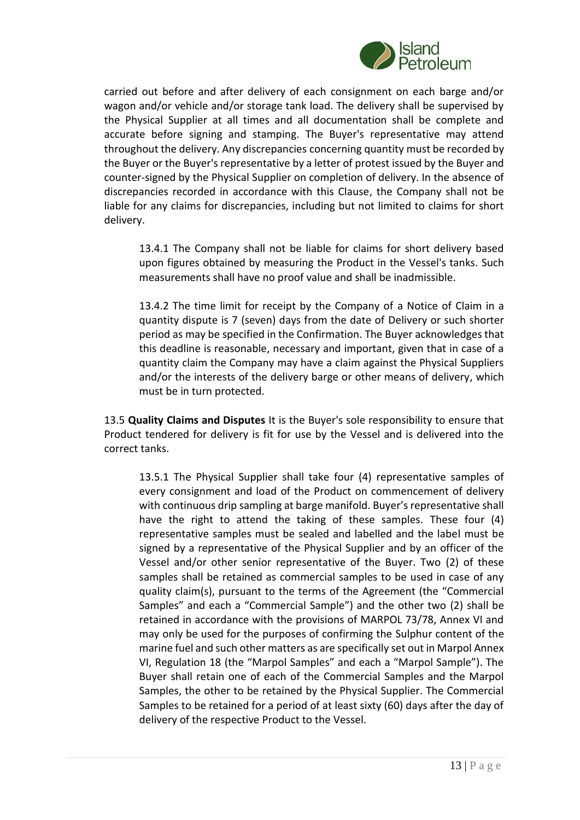

carried out before and after delivery of each consignment on each barge and/or wagon and/or vehicle and/or storage tank load. The delivery shall be supervised by the Physical Supplier at all times and all documentation shall be complete and accurate before signing and stamping. The Buyer's representative may attend throughout the delivery. Any discrepancies concerning quantity must be recorded by the Buyer or the Buyer's representative by a letter of protest issued by the Buyer and counter-signed by the Physical Supplier on completion of delivery. In the absence of discrepancies recorded in accordance with this Clause, the Company shall not be liable for any claims for discrepancies, including but not limited to claims for short delivery.

13.4.1 The Company shall not be liable for claims for short delivery based upon figures obtained by measuring the Product in the Vessel's tanks. Such measurements shall have no proof value and shall be inadmissible.

13.4.2 The time limit for receipt by the Company of a Notice of Claim in a quantity dispute is 7 (seven) days from the date of Delivery or such shorter period as may be specified in the Confirmation. The Buyer acknowledges that this deadline is reasonable, necessary and important, given that in case of a quantity claim the Company may have a claim against the Physical Suppliers and/or the interests of the delivery barge or other means of delivery, which must be in turn protected.

13.5 **Quality Claims and Disputes** It is the Buyer's sole responsibility to ensure that Product tendered for delivery is fit for use by the Vessel and is delivered into the correct tanks.

13.5.1 The Physical Supplier shall take four (4) representative samples of every consignment and load of the Product on commencement of delivery with continuous drip sampling at barge manifold. Buyer's representative shall have the right to attend the taking of these samples. These four (4) representative samples must be sealed and labelled and the label must be signed by a representative of the Physical Supplier and by an officer of the Vessel and/or other senior representative of the Buyer. Two (2) of these samples shall be retained as commercial samples to be used in case of any quality claim(s), pursuant to the terms of the Agreement (the "Commercial Samples" and each a "Commercial Sample") and the other two (2) shall be retained in accordance with the provisions of MARPOL 73/78, Annex VI and may only be used for the purposes of confirming the Sulphur content of the marine fuel and such other matters as are specifically set out in Marpol Annex VI, Regulation 18 (the "Marpol Samples" and each a "Marpol Sample"). The Buyer shall retain one of each of the Commercial Samples and the Marpol Samples, the other to be retained by the Physical Supplier. The Commercial Samples to be retained for a period of at least sixty (60) days after the day of delivery of the respective Product to the Vessel.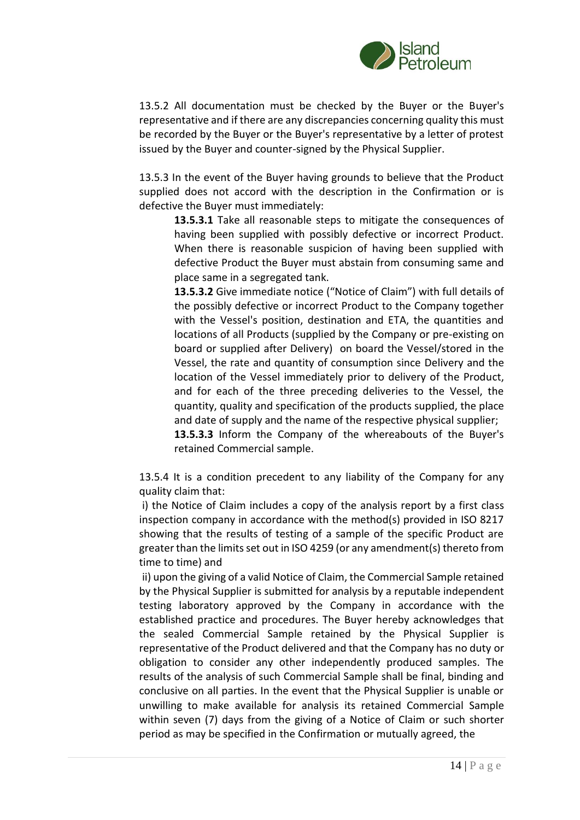

13.5.2 All documentation must be checked by the Buyer or the Buyer's representative and if there are any discrepancies concerning quality this must be recorded by the Buyer or the Buyer's representative by a letter of protest issued by the Buyer and counter-signed by the Physical Supplier.

13.5.3 In the event of the Buyer having grounds to believe that the Product supplied does not accord with the description in the Confirmation or is defective the Buyer must immediately:

**13.5.3.1** Take all reasonable steps to mitigate the consequences of having been supplied with possibly defective or incorrect Product. When there is reasonable suspicion of having been supplied with defective Product the Buyer must abstain from consuming same and place same in a segregated tank.

**13.5.3.2** Give immediate notice ("Notice of Claim") with full details of the possibly defective or incorrect Product to the Company together with the Vessel's position, destination and ETA, the quantities and locations of all Products (supplied by the Company or pre-existing on board or supplied after Delivery) on board the Vessel/stored in the Vessel, the rate and quantity of consumption since Delivery and the location of the Vessel immediately prior to delivery of the Product, and for each of the three preceding deliveries to the Vessel, the quantity, quality and specification of the products supplied, the place and date of supply and the name of the respective physical supplier; **13.5.3.3** Inform the Company of the whereabouts of the Buyer's retained Commercial sample.

13.5.4 It is a condition precedent to any liability of the Company for any quality claim that:

i) the Notice of Claim includes a copy of the analysis report by a first class inspection company in accordance with the method(s) provided in ISO 8217 showing that the results of testing of a sample of the specific Product are greater than the limits set out in ISO 4259 (or any amendment(s) thereto from time to time) and

ii) upon the giving of a valid Notice of Claim, the Commercial Sample retained by the Physical Supplier is submitted for analysis by a reputable independent testing laboratory approved by the Company in accordance with the established practice and procedures. The Buyer hereby acknowledges that the sealed Commercial Sample retained by the Physical Supplier is representative of the Product delivered and that the Company has no duty or obligation to consider any other independently produced samples. The results of the analysis of such Commercial Sample shall be final, binding and conclusive on all parties. In the event that the Physical Supplier is unable or unwilling to make available for analysis its retained Commercial Sample within seven (7) days from the giving of a Notice of Claim or such shorter period as may be specified in the Confirmation or mutually agreed, the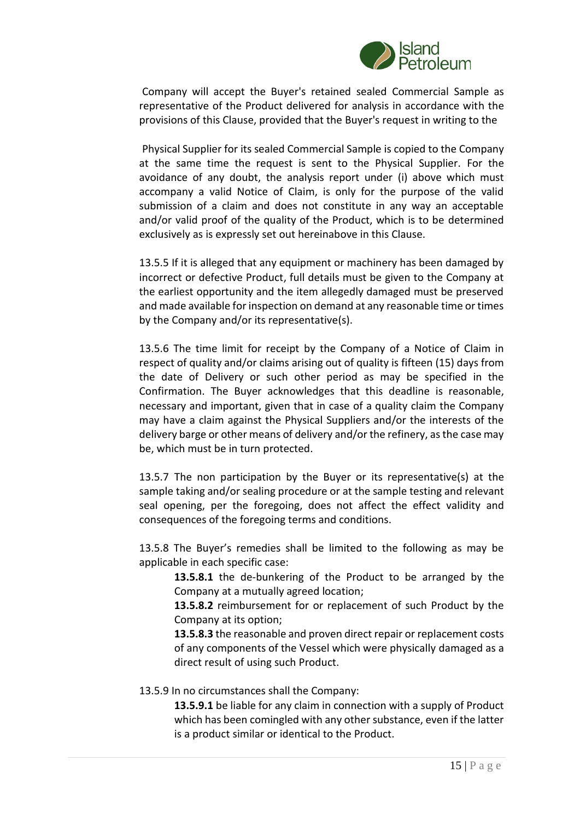

Company will accept the Buyer's retained sealed Commercial Sample as representative of the Product delivered for analysis in accordance with the provisions of this Clause, provided that the Buyer's request in writing to the

Physical Supplier for its sealed Commercial Sample is copied to the Company at the same time the request is sent to the Physical Supplier. For the avoidance of any doubt, the analysis report under (i) above which must accompany a valid Notice of Claim, is only for the purpose of the valid submission of a claim and does not constitute in any way an acceptable and/or valid proof of the quality of the Product, which is to be determined exclusively as is expressly set out hereinabove in this Clause.

13.5.5 If it is alleged that any equipment or machinery has been damaged by incorrect or defective Product, full details must be given to the Company at the earliest opportunity and the item allegedly damaged must be preserved and made available for inspection on demand at any reasonable time or times by the Company and/or its representative(s).

13.5.6 The time limit for receipt by the Company of a Notice of Claim in respect of quality and/or claims arising out of quality is fifteen (15) days from the date of Delivery or such other period as may be specified in the Confirmation. The Buyer acknowledges that this deadline is reasonable, necessary and important, given that in case of a quality claim the Company may have a claim against the Physical Suppliers and/or the interests of the delivery barge or other means of delivery and/or the refinery, as the case may be, which must be in turn protected.

13.5.7 The non participation by the Buyer or its representative(s) at the sample taking and/or sealing procedure or at the sample testing and relevant seal opening, per the foregoing, does not affect the effect validity and consequences of the foregoing terms and conditions.

13.5.8 The Buyer's remedies shall be limited to the following as may be applicable in each specific case:

**13.5.8.1** the de-bunkering of the Product to be arranged by the Company at a mutually agreed location;

**13.5.8.2** reimbursement for or replacement of such Product by the Company at its option;

**13.5.8.3** the reasonable and proven direct repair or replacement costs of any components of the Vessel which were physically damaged as a direct result of using such Product.

#### 13.5.9 In no circumstances shall the Company:

**13.5.9.1** be liable for any claim in connection with a supply of Product which has been comingled with any other substance, even if the latter is a product similar or identical to the Product.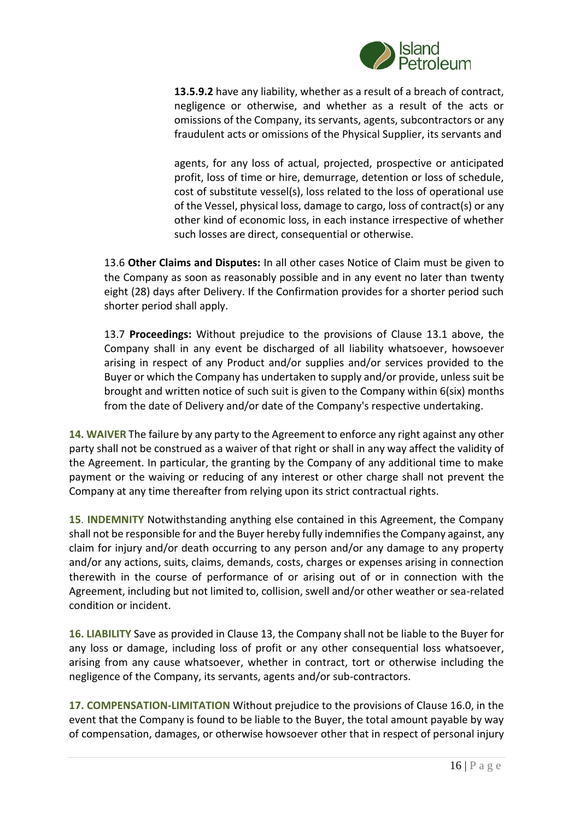

**13.5.9.2** have any liability, whether as a result of a breach of contract, negligence or otherwise, and whether as a result of the acts or omissions of the Company, its servants, agents, subcontractors or any fraudulent acts or omissions of the Physical Supplier, its servants and

agents, for any loss of actual, projected, prospective or anticipated profit, loss of time or hire, demurrage, detention or loss of schedule, cost of substitute vessel(s), loss related to the loss of operational use of the Vessel, physical loss, damage to cargo, loss of contract(s) or any other kind of economic loss, in each instance irrespective of whether such losses are direct, consequential or otherwise.

13.6 **Other Claims and Disputes:** In all other cases Notice of Claim must be given to the Company as soon as reasonably possible and in any event no later than twenty eight (28) days after Delivery. If the Confirmation provides for a shorter period such shorter period shall apply.

13.7 **Proceedings:** Without prejudice to the provisions of Clause 13.1 above, the Company shall in any event be discharged of all liability whatsoever, howsoever arising in respect of any Product and/or supplies and/or services provided to the Buyer or which the Company has undertaken to supply and/or provide, unless suit be brought and written notice of such suit is given to the Company within 6(six) months from the date of Delivery and/or date of the Company's respective undertaking.

**14. WAIVER** The failure by any party to the Agreement to enforce any right against any other party shall not be construed as a waiver of that right or shall in any way affect the validity of the Agreement. In particular, the granting by the Company of any additional time to make payment or the waiving or reducing of any interest or other charge shall not prevent the Company at any time thereafter from relying upon its strict contractual rights.

**15**. **INDEMNITY** Notwithstanding anything else contained in this Agreement, the Company shall not be responsible for and the Buyer hereby fully indemnifies the Company against, any claim for injury and/or death occurring to any person and/or any damage to any property and/or any actions, suits, claims, demands, costs, charges or expenses arising in connection therewith in the course of performance of or arising out of or in connection with the Agreement, including but not limited to, collision, swell and/or other weather or sea-related condition or incident.

**16. LIABILITY** Save as provided in Clause 13, the Company shall not be liable to the Buyer for any loss or damage, including loss of profit or any other consequential loss whatsoever, arising from any cause whatsoever, whether in contract, tort or otherwise including the negligence of the Company, its servants, agents and/or sub-contractors.

**17. COMPENSATION-LIMITATION** Without prejudice to the provisions of Clause 16.0, in the event that the Company is found to be liable to the Buyer, the total amount payable by way of compensation, damages, or otherwise howsoever other that in respect of personal injury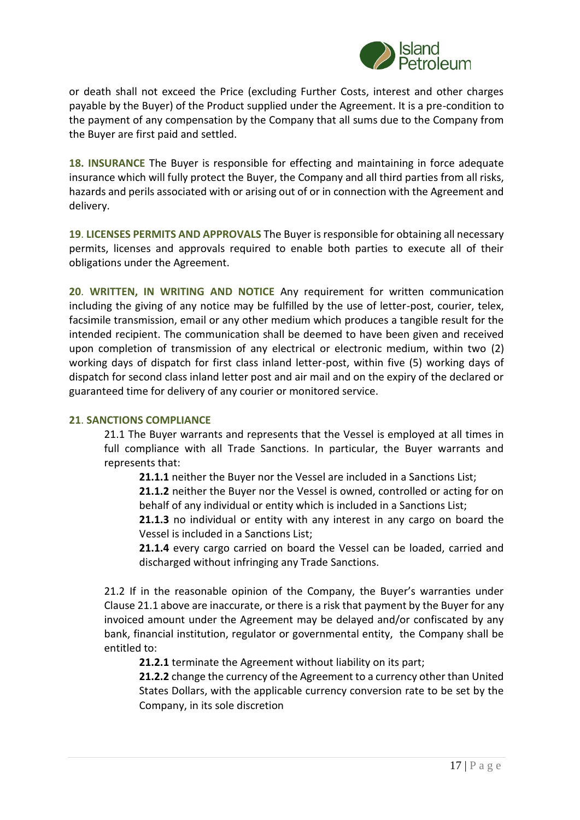

or death shall not exceed the Price (excluding Further Costs, interest and other charges payable by the Buyer) of the Product supplied under the Agreement. It is a pre-condition to the payment of any compensation by the Company that all sums due to the Company from the Buyer are first paid and settled.

**18. INSURANCE** The Buyer is responsible for effecting and maintaining in force adequate insurance which will fully protect the Buyer, the Company and all third parties from all risks, hazards and perils associated with or arising out of or in connection with the Agreement and delivery.

**19**. **LICENSES PERMITS AND APPROVALS** The Buyer is responsible for obtaining all necessary permits, licenses and approvals required to enable both parties to execute all of their obligations under the Agreement.

**20**. **WRITTEN, IN WRITING AND NOTICE** Any requirement for written communication including the giving of any notice may be fulfilled by the use of letter-post, courier, telex, facsimile transmission, email or any other medium which produces a tangible result for the intended recipient. The communication shall be deemed to have been given and received upon completion of transmission of any electrical or electronic medium, within two (2) working days of dispatch for first class inland letter-post, within five (5) working days of dispatch for second class inland letter post and air mail and on the expiry of the declared or guaranteed time for delivery of any courier or monitored service.

#### **21**. **SANCTIONS COMPLIANCE**

21.1 The Buyer warrants and represents that the Vessel is employed at all times in full compliance with all Trade Sanctions. In particular, the Buyer warrants and represents that:

**21.1.1** neither the Buyer nor the Vessel are included in a Sanctions List;

**21.1.2** neither the Buyer nor the Vessel is owned, controlled or acting for on behalf of any individual or entity which is included in a Sanctions List;

**21.1.3** no individual or entity with any interest in any cargo on board the Vessel is included in a Sanctions List;

**21.1.4** every cargo carried on board the Vessel can be loaded, carried and discharged without infringing any Trade Sanctions.

21.2 If in the reasonable opinion of the Company, the Buyer's warranties under Clause 21.1 above are inaccurate, or there is a risk that payment by the Buyer for any invoiced amount under the Agreement may be delayed and/or confiscated by any bank, financial institution, regulator or governmental entity, the Company shall be entitled to:

**21.2.1** terminate the Agreement without liability on its part;

**21.2.2** change the currency of the Agreement to a currency other than United States Dollars, with the applicable currency conversion rate to be set by the Company, in its sole discretion